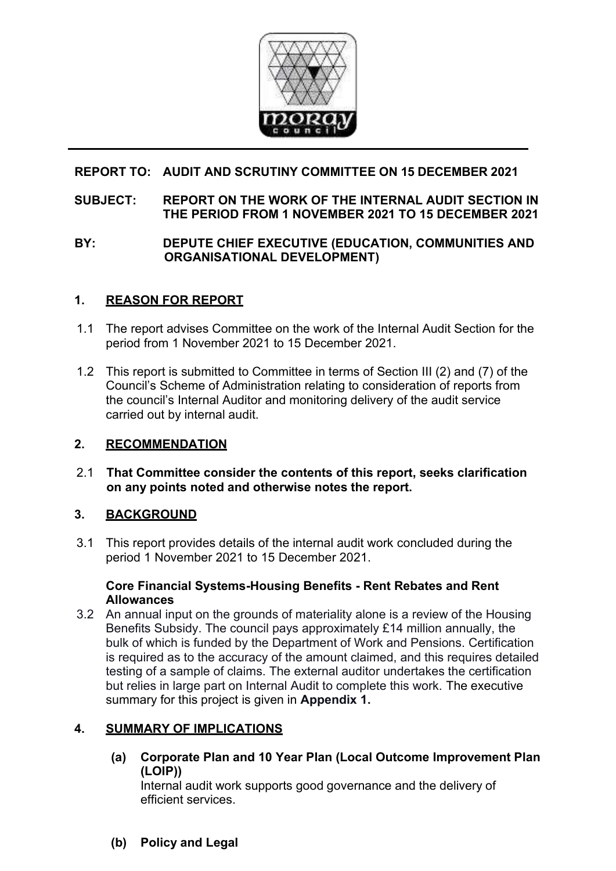

# **REPORT TO: AUDIT AND SCRUTINY COMMITTEE ON 15 DECEMBER 2021**

#### **SUBJECT: REPORT ON THE WORK OF THE INTERNAL AUDIT SECTION IN THE PERIOD FROM 1 NOVEMBER 2021 TO 15 DECEMBER 2021**

## **BY: DEPUTE CHIEF EXECUTIVE (EDUCATION, COMMUNITIES AND ORGANISATIONAL DEVELOPMENT)**

# **1. REASON FOR REPORT**

- 1.1 The report advises Committee on the work of the Internal Audit Section for the period from 1 November 2021 to 15 December 2021.
- 1.2 This report is submitted to Committee in terms of Section III (2) and (7) of the Council's Scheme of Administration relating to consideration of reports from the council's Internal Auditor and monitoring delivery of the audit service carried out by internal audit.

# **2. RECOMMENDATION**

2.1 **That Committee consider the contents of this report, seeks clarification on any points noted and otherwise notes the report.** 

# **3. BACKGROUND**

3.1 This report provides details of the internal audit work concluded during the period 1 November 2021 to 15 December 2021.

#### **Core Financial Systems-Housing Benefits - Rent Rebates and Rent Allowances**

3.2 An annual input on the grounds of materiality alone is a review of the Housing Benefits Subsidy. The council pays approximately £14 million annually, the bulk of which is funded by the Department of Work and Pensions. Certification is required as to the accuracy of the amount claimed, and this requires detailed testing of a sample of claims. The external auditor undertakes the certification but relies in large part on Internal Audit to complete this work. The executive summary for this project is given in **Appendix 1.**

## **4. SUMMARY OF IMPLICATIONS**

**(a) Corporate Plan and 10 Year Plan (Local Outcome Improvement Plan (LOIP))** 

Internal audit work supports good governance and the delivery of efficient services.

**(b) Policy and Legal**